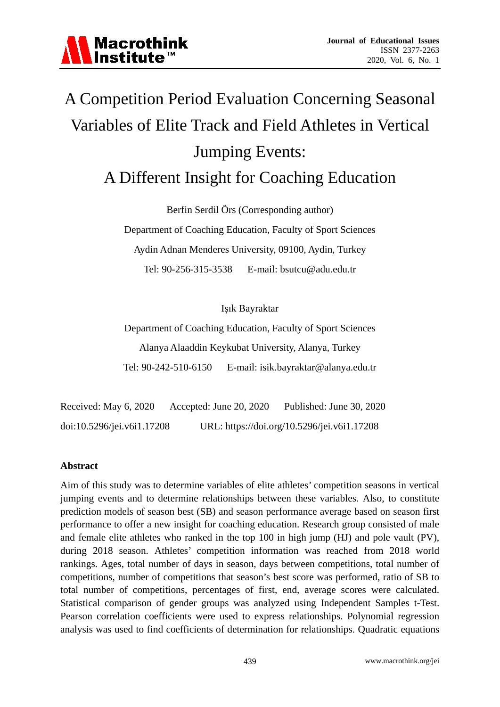## A Competition Period Evaluation Concerning Seasonal Variables of Elite Track and Field Athletes in Vertical Jumping Events: A Different Insight for Coaching Education

Berfin Serdil Örs (Corresponding author)

Department of Coaching Education, Faculty of Sport Sciences Aydin Adnan Menderes University, 09100, Aydin, Turkey Tel: 90-256-315-3538 E-mail: bsutcu@adu.edu.tr

Işık Bayraktar

Department of Coaching Education, Faculty of Sport Sciences Alanya Alaaddin Keykubat University, Alanya, Turkey Tel: 90-242-510-6150 E-mail: isik.bayraktar@alanya.edu.tr

Received: May 6, 2020 Accepted: June 20, 2020 Published: June 30, 2020 doi:10.5296/jei.v6i1.17208 URL: https://doi.org/10.5296/jei.v6i1.17208

#### **Abstract**

Aim of this study was to determine variables of elite athletes' competition seasons in vertical jumping events and to determine relationships between these variables. Also, to constitute prediction models of season best (SB) and season performance average based on season first performance to offer a new insight for coaching education. Research group consisted of male and female elite athletes who ranked in the top 100 in high jump (HJ) and pole vault (PV), during 2018 season. Athletes' competition information was reached from 2018 world rankings. Ages, total number of days in season, days between competitions, total number of competitions, number of competitions that season's best score was performed, ratio of SB to total number of competitions, percentages of first, end, average scores were calculated. Statistical comparison of gender groups was analyzed using Independent Samples t-Test. Pearson correlation coefficients were used to express relationships. Polynomial regression analysis was used to find coefficients of determination for relationships. Quadratic equations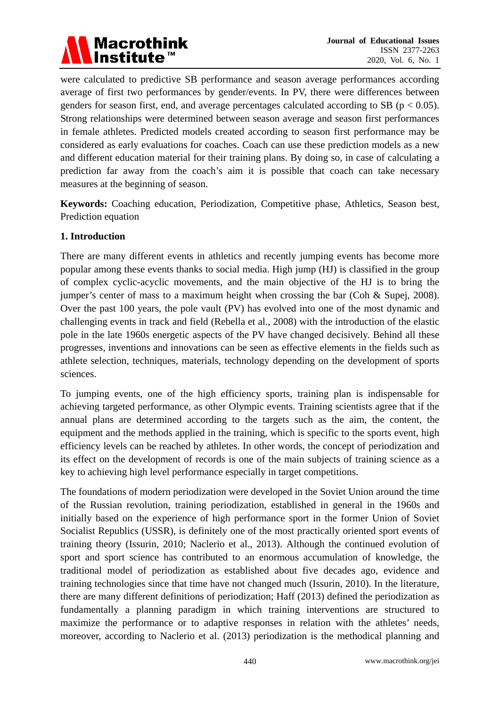

were calculated to predictive SB performance and season average performances according average of first two performances by gender/events. In PV, there were differences between genders for season first, end, and average percentages calculated according to SB ( $p < 0.05$ ). Strong relationships were determined between season average and season first performances in female athletes. Predicted models created according to season first performance may be considered as early evaluations for coaches. Coach can use these prediction models as a new and different education material for their training plans. By doing so, in case of calculating a prediction far away from the coach's aim it is possible that coach can take necessary measures at the beginning of season.

**Keywords:** Coaching education, Periodization, Competitive phase, Athletics, Season best, Prediction equation

#### **1. Introduction**

There are many different events in athletics and recently jumping events has become more popular among these events thanks to social media. High jump (HJ) is classified in the group of complex cyclic-acyclic movements, and the main objective of the HJ is to bring the jumper's center of mass to a maximum height when crossing the bar (Coh & Supej, 2008). Over the past 100 years, the pole vault (PV) has evolved into one of the most dynamic and challenging events in track and field (Rebella et al., 2008) with the introduction of the elastic pole in the late 1960s energetic aspects of the PV have changed decisively. Behind all these progresses, inventions and innovations can be seen as effective elements in the fields such as athlete selection, techniques, materials, technology depending on the development of sports sciences.

To jumping events, one of the high efficiency sports, training plan is indispensable for achieving targeted performance, as other Olympic events. Training scientists agree that if the annual plans are determined according to the targets such as the aim, the content, the equipment and the methods applied in the training, which is specific to the sports event, high efficiency levels can be reached by athletes. In other words, the concept of periodization and its effect on the development of records is one of the main subjects of training science as a key to achieving high level performance especially in target competitions.

The foundations of modern periodization were developed in the Soviet Union around the time of the Russian revolution, training periodization, established in general in the 1960s and initially based on the experience of high performance sport in the former Union of Soviet Socialist Republics (USSR), is definitely one of the most practically oriented sport events of training theory (Issurin, 2010; Naclerio et al., 2013). Although the continued evolution of sport and sport science has contributed to an enormous accumulation of knowledge, the traditional model of periodization as established about five decades ago, evidence and training technologies since that time have not changed much (Issurin, 2010). In the literature, there are many different definitions of periodization; Haff (2013) defined the periodization as fundamentally a planning paradigm in which training interventions are structured to maximize the performance or to adaptive responses in relation with the athletes' needs, moreover, according to Naclerio et al. (2013) periodization is the methodical planning and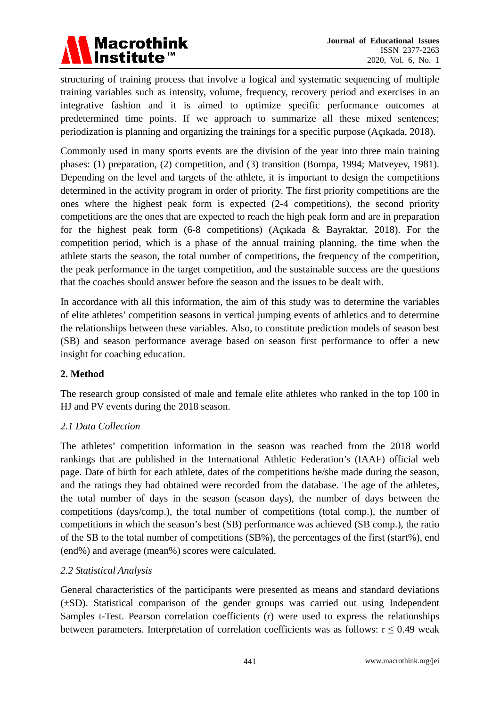

structuring of training process that involve a logical and systematic sequencing of multiple training variables such as intensity, volume, frequency, recovery period and exercises in an integrative fashion and it is aimed to optimize specific performance outcomes at predetermined time points. If we approach to summarize all these mixed sentences; periodization is planning and organizing the trainings for a specific purpose (Açıkada, 2018).

Commonly used in many sports events are the division of the year into three main training phases: (1) preparation, (2) competition, and (3) transition (Bompa, 1994; Matveyev, 1981). Depending on the level and targets of the athlete, it is important to design the competitions determined in the activity program in order of priority. The first priority competitions are the ones where the highest peak form is expected (2-4 competitions), the second priority competitions are the ones that are expected to reach the high peak form and are in preparation for the highest peak form (6-8 competitions) (Açıkada & Bayraktar, 2018). For the competition period, which is a phase of the annual training planning, the time when the athlete starts the season, the total number of competitions, the frequency of the competition, the peak performance in the target competition, and the sustainable success are the questions that the coaches should answer before the season and the issues to be dealt with.

In accordance with all this information, the aim of this study was to determine the variables of elite athletes' competition seasons in vertical jumping events of athletics and to determine the relationships between these variables. Also, to constitute prediction models of season best (SB) and season performance average based on season first performance to offer a new insight for coaching education.

### **2. Method**

The research group consisted of male and female elite athletes who ranked in the top 100 in HJ and PV events during the 2018 season.

#### *2.1 Data Collection*

The athletes' competition information in the season was reached from the 2018 world rankings that are published in the International Athletic Federation's (IAAF) official web page. Date of birth for each athlete, dates of the competitions he/she made during the season, and the ratings they had obtained were recorded from the database. The age of the athletes, the total number of days in the season (season days), the number of days between the competitions (days/comp.), the total number of competitions (total comp.), the number of competitions in which the season's best (SB) performance was achieved (SB comp.), the ratio of the SB to the total number of competitions (SB%), the percentages of the first (start%), end (end%) and average (mean%) scores were calculated.

#### *2.2 Statistical Analysis*

General characteristics of the participants were presented as means and standard deviations (±SD). Statistical comparison of the gender groups was carried out using Independent Samples t-Test. Pearson correlation coefficients (r) were used to express the relationships between parameters. Interpretation of correlation coefficients was as follows:  $r \le 0.49$  weak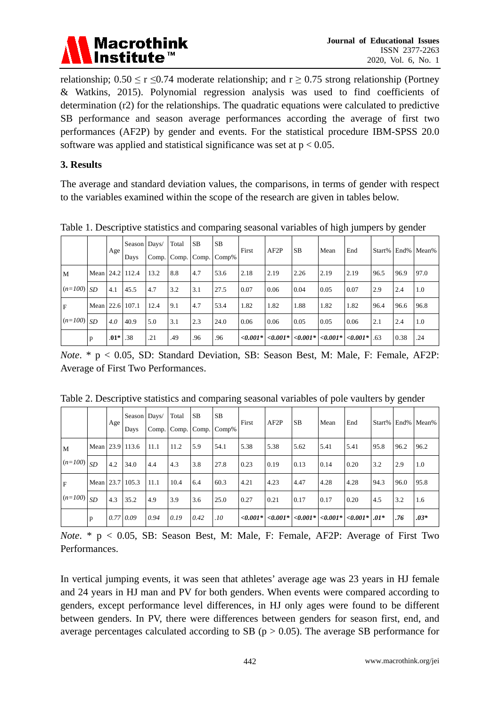

relationship;  $0.50 \le r \le 0.74$  moderate relationship; and  $r \ge 0.75$  strong relationship (Portney & Watkins, 2015). Polynomial regression analysis was used to find coefficients of determination (r2) for the relationships. The quadratic equations were calculated to predictive SB performance and season average performances according the average of first two performances (AF2P) by gender and events. For the statistical procedure IBM-SPSS 20.0 software was applied and statistical significance was set at  $p < 0.05$ .

#### **3. Results**

The average and standard deviation values, the comparisons, in terms of gender with respect to the variables examined within the scope of the research are given in tables below.

|  |              |                 |        | Season Days/ |      | Total             | <b>SB</b> | <b>SB</b> |       |                                                                        |           |      |      |      |      |                   |
|--|--------------|-----------------|--------|--------------|------|-------------------|-----------|-----------|-------|------------------------------------------------------------------------|-----------|------|------|------|------|-------------------|
|  |              |                 | Age    | Days         |      | Comp. Comp. Comp. |           | Comp%     | First | AF2P                                                                   | <b>SB</b> | Mean | End  |      |      | Start% End% Mean% |
|  | M            | Mean 24.2 112.4 |        |              | 13.2 | 8.8               | 4.7       | 53.6      | 2.18  | 2.19                                                                   | 2.26      | 2.19 | 2.19 | 96.5 | 96.9 | 97.0              |
|  | $(n=100)$ SD |                 | 4.1    | 45.5         | 4.7  | 3.2               | 3.1       | 27.5      | 0.07  | 0.06                                                                   | 0.04      | 0.05 | 0.07 | 2.9  | 2.4  | 1.0               |
|  | F            | Mean 22.6 107.1 |        |              | 12.4 | 9.1               | 4.7       | 53.4      | 1.82  | 1.82                                                                   | 1.88      | 1.82 | 1.82 | 96.4 | 96.6 | 96.8              |
|  | $(n=100)$ SD |                 | 4.0    | 40.9         | 5.0  | 3.1               | 2.3       | 24.0      | 0.06  | 0.06                                                                   | 0.05      | 0.05 | 0.06 | 2.1  | 2.4  | 1.0               |
|  |              | p               | $.01*$ | .38          | .21  | .49               | .96       | .96       |       | $ 10001* $ $ 0001* $ $ 0001* $ $ 0001* $ $ 0001* $ $ 0001* $ $ 0001* $ |           |      |      |      | 0.38 | .24               |

Table 1. Descriptive statistics and comparing seasonal variables of high jumpers by gender

*Note*. \* p < 0.05, SD: Standard Deviation, SB: Season Best, M: Male, F: Female, AF2P: Average of First Two Performances.

|                |                 | Age | Season Days/<br>Days | Comp. | Total | <b>SB</b><br>Comp. Comp. | <b>SB</b><br>Comp% | First | AF2P | <b>SB</b>                                                   | Mean | End  | Start% |      | End% Mean% |
|----------------|-----------------|-----|----------------------|-------|-------|--------------------------|--------------------|-------|------|-------------------------------------------------------------|------|------|--------|------|------------|
| M              | Mean 23.9 113.6 |     |                      | 11.1  | 11.2  | 5.9                      | 54.1               | 5.38  | 5.38 | 5.62                                                        | 5.41 | 5.41 | 95.8   | 96.2 | 96.2       |
| $(n=100)$ $SD$ |                 | 4.2 | 34.0                 | 4.4   | 4.3   | 3.8                      | 27.8               | 0.23  | 0.19 | 0.13                                                        | 0.14 | 0.20 | 3.2    | 2.9  | 1.0        |
| F              | Mean 23.7 105.3 |     |                      | 11.1  | 10.4  | 6.4                      | 60.3               | 4.21  | 4.23 | 4.47                                                        | 4.28 | 4.28 | 94.3   | 96.0 | 95.8       |
| $(n=100)$ SD   |                 | 4.3 | 35.2                 | 4.9   | 3.9   | 3.6                      | 25.0               | 0.27  | 0.21 | 0.17                                                        | 0.17 | 0.20 | 4.5    | 3.2  | 1.6        |
|                | $\mathbf{p}$    |     | $0.77 \, 0.09$       | 0.94  | 0.19  | 0.42                     | .10                |       |      | $ 10001* $ $ 0001* $ $ 0001* $ $ 0001* $ $ 0001* $ $ 001* $ |      |      |        | .76  | $.03*$     |

Table 2. Descriptive statistics and comparing seasonal variables of pole vaulters by gender

*Note*. \* p < 0.05, SB: Season Best, M: Male, F: Female, AF2P: Average of First Two Performances.

In vertical jumping events, it was seen that athletes' average age was 23 years in HJ female and 24 years in HJ man and PV for both genders. When events were compared according to genders, except performance level differences, in HJ only ages were found to be different between genders. In PV, there were differences between genders for season first, end, and average percentages calculated according to SB ( $p > 0.05$ ). The average SB performance for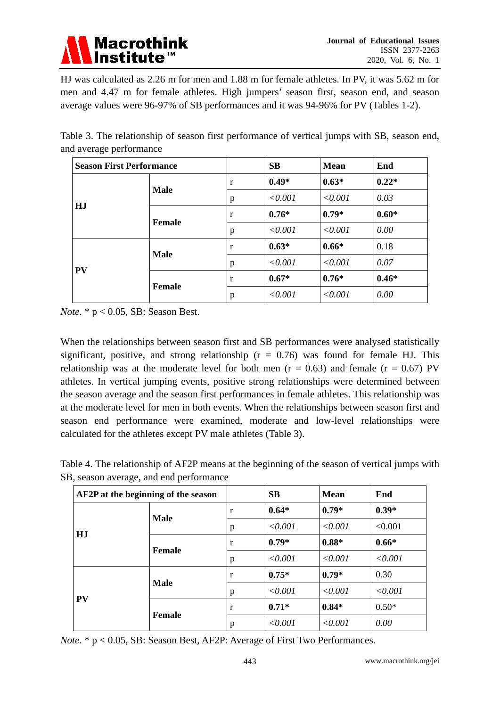

HJ was calculated as 2.26 m for men and 1.88 m for female athletes. In PV, it was 5.62 m for men and 4.47 m for female athletes. High jumpers' season first, season end, and season average values were 96-97% of SB performances and it was 94-96% for PV (Tables 1-2).

Table 3. The relationship of season first performance of vertical jumps with SB, season end, and average performance

| <b>Season First Performance</b> |               | <b>SB</b> | <b>Mean</b> | End     |         |
|---------------------------------|---------------|-----------|-------------|---------|---------|
|                                 |               | r         | $0.49*$     | $0.63*$ | $0.22*$ |
|                                 | <b>Male</b>   | p         | < 0.001     | < 0.001 | 0.03    |
| HJ                              |               | r         | $0.76*$     | $0.79*$ | $0.60*$ |
|                                 | <b>Female</b> | p         | < 0.001     | < 0.001 | 0.00    |
|                                 |               | r         | $0.63*$     | $0.66*$ | 0.18    |
|                                 | <b>Male</b>   | p         | < 0.001     | < 0.001 | 0.07    |
| <b>PV</b>                       |               | r         | $0.67*$     | $0.76*$ | $0.46*$ |
|                                 | <b>Female</b> | p         | < 0.001     | < 0.001 | 0.00    |

*Note*. \* p < 0.05, SB: Season Best.

When the relationships between season first and SB performances were analysed statistically significant, positive, and strong relationship ( $r = 0.76$ ) was found for female HJ. This relationship was at the moderate level for both men ( $r = 0.63$ ) and female ( $r = 0.67$ ) PV athletes. In vertical jumping events, positive strong relationships were determined between the season average and the season first performances in female athletes. This relationship was at the moderate level for men in both events. When the relationships between season first and season end performance were examined, moderate and low-level relationships were calculated for the athletes except PV male athletes (Table 3).

Table 4. The relationship of AF2P means at the beginning of the season of vertical jumps with SB, season average, and end performance

| AF2P at the beginning of the season |               | <b>SB</b> | <b>Mean</b> | End         |             |
|-------------------------------------|---------------|-----------|-------------|-------------|-------------|
|                                     | <b>Male</b>   |           | $0.64*$     | $0.79*$     | $0.39*$     |
|                                     |               |           | < 0.001     | < 0.001     | < 0.001     |
| HJ                                  | <b>Female</b> | r         | $0.79*$     | $0.88*$     | $0.66*$     |
|                                     |               | p         | < 0.001     | < 0.001     | $\le 0.001$ |
|                                     |               | r         | $0.75*$     | $0.79*$     | 0.30        |
|                                     | <b>Male</b>   | p         | < 0.001     | $\le 0.001$ | < 0.001     |
| <b>PV</b>                           | <b>Female</b> | r         | $0.71*$     | $0.84*$     | $0.50*$     |
|                                     |               | p         | < 0.001     | < 0.001     | 0.00        |

*Note*. \* p < 0.05, SB: Season Best, AF2P: Average of First Two Performances.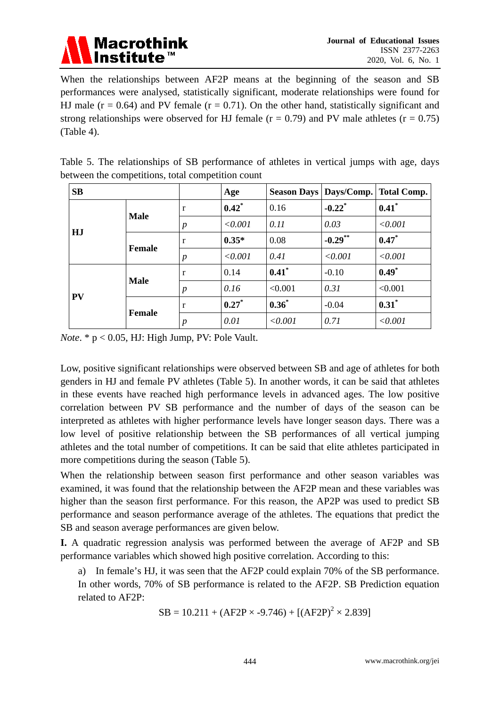

When the relationships between AF2P means at the beginning of the season and SB performances were analysed, statistically significant, moderate relationships were found for HJ male ( $r = 0.64$ ) and PV female ( $r = 0.71$ ). On the other hand, statistically significant and strong relationships were observed for HJ female ( $r = 0.79$ ) and PV male athletes ( $r = 0.75$ ) (Table 4).

|  |  | Table 5. The relationships of SB performance of athletes in vertical jumps with age, days |  |  |  |  |
|--|--|-------------------------------------------------------------------------------------------|--|--|--|--|
|  |  | between the competitions, total competition count                                         |  |  |  |  |

| <b>SB</b> |               |                  | Age      |          |                      | Season Days   Days/Comp.   Total Comp. |
|-----------|---------------|------------------|----------|----------|----------------------|----------------------------------------|
|           | <b>Male</b>   | r                | $0.42^*$ | 0.16     | $-0.22$ <sup>*</sup> | $0.41$ *                               |
|           |               | $\boldsymbol{p}$ | < 0.001  | 0.11     | 0.03                 | < 0.001                                |
| HJ        |               | r                | $0.35*$  | 0.08     | $-0.29$ **           | $0.47*$                                |
|           | Female        | $\boldsymbol{p}$ | < 0.001  | 0.41     | < 0.001              | < 0.001                                |
|           |               | r                | 0.14     | $0.41$ * | $-0.10$              | $0.49*$                                |
|           | <b>Male</b>   | $\boldsymbol{p}$ | 0.16     | < 0.001  | 0.31                 | < 0.001                                |
| <b>PV</b> |               | r                | $0.27^*$ | $0.36*$  | $-0.04$              | $0.31^*$                               |
|           | <b>Female</b> | p                | 0.01     | < 0.001  | 0.71                 | < 0.001                                |

*Note*. \* p < 0.05, HJ: High Jump, PV: Pole Vault.

Low, positive significant relationships were observed between SB and age of athletes for both genders in HJ and female PV athletes (Table 5). In another words, it can be said that athletes in these events have reached high performance levels in advanced ages. The low positive correlation between PV SB performance and the number of days of the season can be interpreted as athletes with higher performance levels have longer season days. There was a low level of positive relationship between the SB performances of all vertical jumping athletes and the total number of competitions. It can be said that elite athletes participated in more competitions during the season (Table 5).

When the relationship between season first performance and other season variables was examined, it was found that the relationship between the AF2P mean and these variables was higher than the season first performance. For this reason, the AP2P was used to predict SB performance and season performance average of the athletes. The equations that predict the SB and season average performances are given below.

**I.** A quadratic regression analysis was performed between the average of AF2P and SB performance variables which showed high positive correlation. According to this:

a) In female's HJ, it was seen that the AF2P could explain 70% of the SB performance. In other words, 70% of SB performance is related to the AF2P. SB Prediction equation related to AF2P:

 $SB = 10.211 + (AF2P \times -9.746) + [(AF2P)^2 \times 2.839]$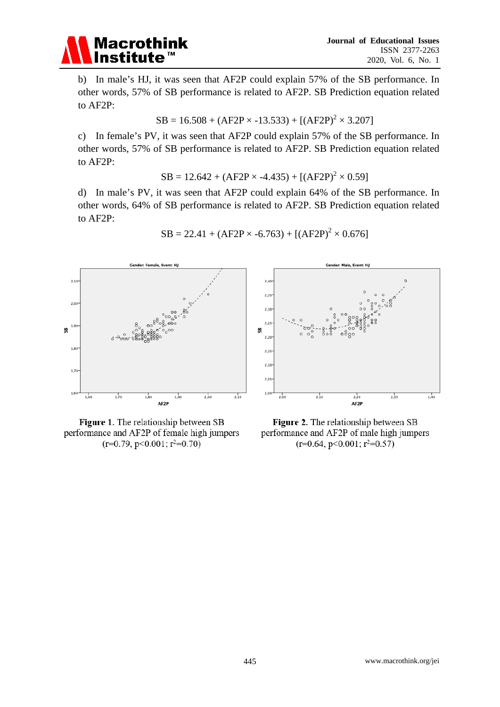

b) In male's HJ, it was seen that AF2P could explain 57% of the SB performance. In other words, 57% of SB performance is related to AF2P. SB Prediction equation related to AF2P:

$$
SB = 16.508 + (AF2P \times -13.533) + [(AF2P)^{2} \times 3.207]
$$

c) In female's PV, it was seen that AF2P could explain 57% of the SB performance. In other words, 57% of SB performance is related to AF2P. SB Prediction equation related to AF2P:

 $SB = 12.642 + (AF2P \times -4.435) + [(AF2P)^{2} \times 0.59]$ 

d) In male's PV, it was seen that AF2P could explain 64% of the SB performance. In other words, 64% of SB performance is related to AF2P. SB Prediction equation related to AF2P:



$$
SB = 22.41 + (AF2P \times -6.763) + [(AF2P)^{2} \times 0.676]
$$



Figure 1. The relationship between SB performance and AF2P of female high jumpers  $(r=0.79, p<0.001; r^2=0.70)$ 

Figure 2. The relationship between SB performance and AF2P of male high jumpers  $(r=0.64, p<0.001; r^2=0.57)$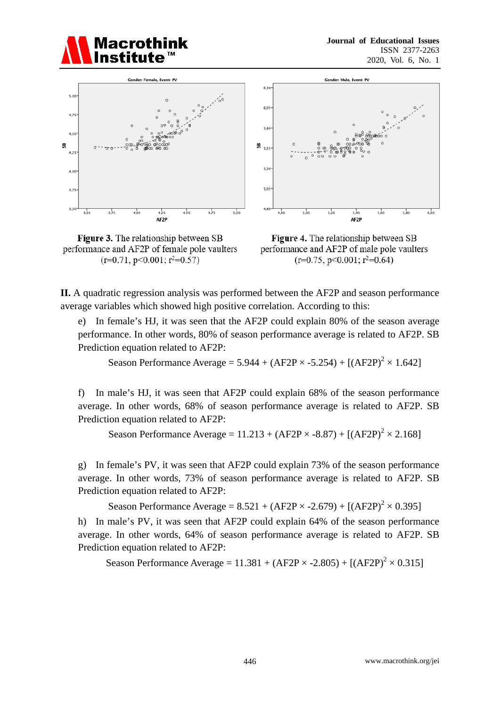



Figure 3. The relationship between SB performance and AF2P of female pole vaulters  $(r=0.71, p<0.001; r^2=0.57)$ 



Figure 4. The relationship between SB performance and AF2P of male pole vaulters  $(r=0.75, p<0.001; r^2=0.64)$ 

**II.** A quadratic regression analysis was performed between the AF2P and season performance average variables which showed high positive correlation. According to this:

e) In female's HJ, it was seen that the AF2P could explain 80% of the season average performance. In other words, 80% of season performance average is related to AF2P. SB Prediction equation related to AF2P:

Season Performance Average =  $5.944 + (AF2P \times -5.254) + [(AF2P)^2 \times 1.642]$ 

f) In male's HJ, it was seen that AF2P could explain 68% of the season performance average. In other words, 68% of season performance average is related to AF2P. SB Prediction equation related to AF2P:

Season Performance Average =  $11.213 + (AF2P \times -8.87) + [(AF2P)^2 \times 2.168]$ 

g) In female's PV, it was seen that AF2P could explain 73% of the season performance average. In other words, 73% of season performance average is related to AF2P. SB Prediction equation related to AF2P:

Season Performance Average =  $8.521 + (AF2P \times -2.679) + [(AF2P)^2 \times 0.395]$ 

h) In male's PV, it was seen that AF2P could explain 64% of the season performance average. In other words, 64% of season performance average is related to AF2P. SB Prediction equation related to AF2P:

Season Performance Average =  $11.381 + (AF2P \times -2.805) + [(AF2P)^2 \times 0.315]$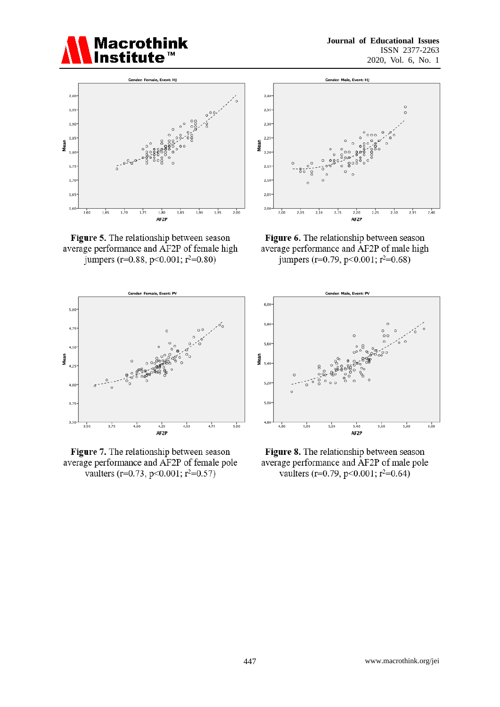



Figure 5. The relationship between season average performance and AF2P of female high jumpers (r=0.88, p<0.001; r<sup>2</sup>=0.80)



Figure 7. The relationship between season average performance and AF2P of female pole vaulters (r=0.73, p<0.001; r<sup>2</sup>=0.57)



Figure 6. The relationship between season average performance and AF2P of male high jumpers (r=0.79, p<0.001; r<sup>2</sup>=0.68)



Figure 8. The relationship between season average performance and AF2P of male pole vaulters (r=0.79, p<0.001; r<sup>2</sup>=0.64)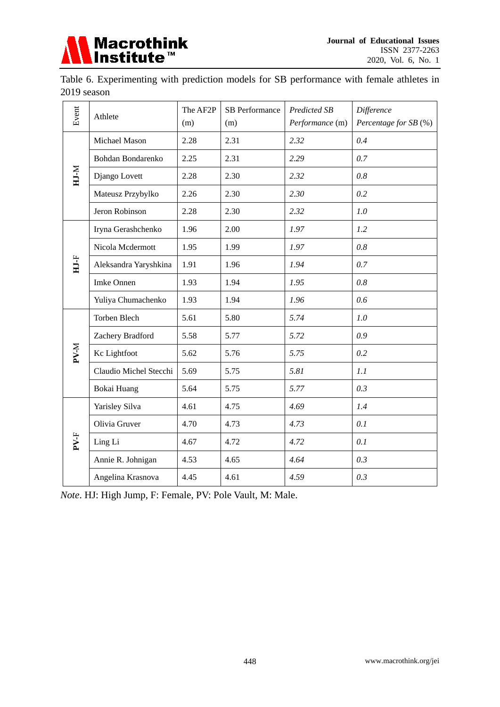

Table 6. Experimenting with prediction models for SB performance with female athletes in 2019 season

| Event        |                        | The AF2P | SB Performance | Predicted SB    | Difference            |  |
|--------------|------------------------|----------|----------------|-----------------|-----------------------|--|
|              | Athlete                | (m)      | (m)            | Performance (m) | Percentage for SB (%) |  |
|              | Michael Mason          | 2.28     | 2.31           | 2.32            | 0.4                   |  |
|              | Bohdan Bondarenko      | 2.25     | 2.31           | 2.29            | 0.7                   |  |
| $M$ - $M$    | Django Lovett          | 2.28     | 2.30           | 2.32            | 0.8                   |  |
|              | Mateusz Przybylko      | 2.26     | 2.30           | 2.30            | 0.2                   |  |
|              | Jeron Robinson         | 2.28     | 2.30           | 2.32            | 1.0                   |  |
|              | Iryna Gerashchenko     | 1.96     | 2.00           | 1.97            | 1.2                   |  |
|              | Nicola Mcdermott       | 1.95     | 1.99           | 1.97            | 0.8                   |  |
| HJ-F         | Aleksandra Yaryshkina  | 1.91     | 1.96           | 1.94            | 0.7                   |  |
|              | Imke Onnen             | 1.93     | 1.94           | 1.95            | 0.8                   |  |
|              | Yuliya Chumachenko     | 1.93     | 1.94           | 1.96            | 0.6                   |  |
|              | Torben Blech           | 5.61     | 5.80           | 5.74            | 1.0                   |  |
|              | Zachery Bradford       | 5.58     | 5.77           | 5.72            | 0.9                   |  |
| <b>N-V-M</b> | Kc Lightfoot           | 5.62     | 5.76           | 5.75            | 0.2                   |  |
|              | Claudio Michel Stecchi | 5.69     | 5.75           | 5.81            | 1.1                   |  |
|              | Bokai Huang            | 5.64     | 5.75           | 5.77            | 0.3                   |  |
|              | Yarisley Silva         | 4.61     | 4.75           | 4.69            | 1.4                   |  |
|              | Olivia Gruver          | 4.70     | 4.73           | 4.73            | 0.1                   |  |
| PV-F         | Ling Li                | 4.67     | 4.72           | 4.72            | 0.1                   |  |
|              | Annie R. Johnigan      | 4.53     | 4.65           | 4.64            | 0.3                   |  |
|              | Angelina Krasnova      | 4.45     | 4.61           | 4.59            | 0.3                   |  |

*Note*. HJ: High Jump, F: Female, PV: Pole Vault, M: Male.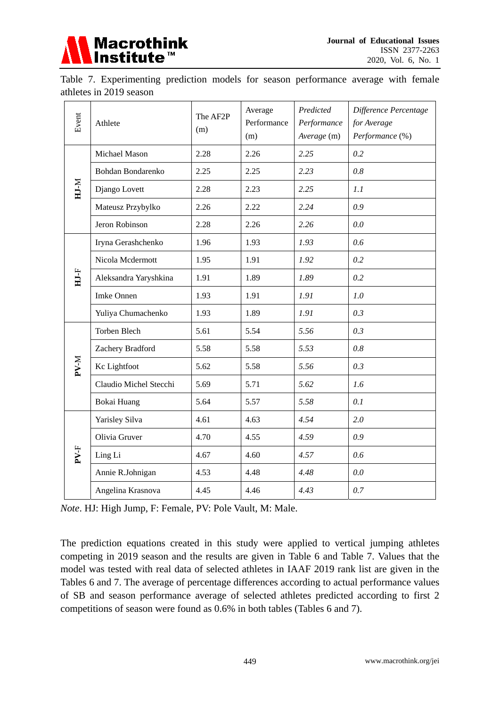

Table 7. Experimenting prediction models for season performance average with female athletes in 2019 season

| Event           | Athlete                | The AF2P<br>(m) | Average<br>Performance<br>(m) | Predicted<br>Performance<br>Average (m) | Difference Percentage<br>for Average<br>Performance (%) |  |
|-----------------|------------------------|-----------------|-------------------------------|-----------------------------------------|---------------------------------------------------------|--|
|                 | Michael Mason          | 2.28            | 2.26                          | 2.25                                    | 0.2                                                     |  |
|                 | Bohdan Bondarenko      | 2.25            | 2.25                          | 2.23                                    | 0.8                                                     |  |
| HJ-M            | Django Lovett          | 2.28            | 2.23                          | 2.25                                    | 1.1                                                     |  |
|                 | Mateusz Przybylko      | 2.26            | 2.22                          | 2.24                                    | 0.9                                                     |  |
|                 | Jeron Robinson         | 2.28            | 2.26                          | 2.26                                    | 0.0                                                     |  |
|                 | Iryna Gerashchenko     | 1.96            | 1.93                          | 1.93                                    | 0.6                                                     |  |
|                 | Nicola Mcdermott       | 1.95            | 1.91                          | 1.92                                    | 0.2                                                     |  |
| $HJ-F$          | Aleksandra Yaryshkina  | 1.91            | 1.89                          | 1.89                                    | 0.2                                                     |  |
|                 | <b>Imke Onnen</b>      | 1.93            | 1.91                          | 1.91                                    | 1.0                                                     |  |
|                 | Yuliya Chumachenko     | 1.93            | 1.89                          | 1.91                                    | 0.3                                                     |  |
|                 | <b>Torben Blech</b>    | 5.61            | 5.54                          | 5.56                                    | 0.3                                                     |  |
|                 | Zachery Bradford       | 5.58            | 5.58                          | 5.53                                    | 0.8                                                     |  |
| PV-M            | Kc Lightfoot           | 5.62            | 5.58                          | 5.56                                    | 0.3                                                     |  |
|                 | Claudio Michel Stecchi | 5.69            | 5.71                          | 5.62                                    | 1.6                                                     |  |
|                 | Bokai Huang            | 5.64            | 5.57                          | 5.58                                    | 0.1                                                     |  |
|                 | Yarisley Silva         | 4.61            | 4.63                          | 4.54                                    | 2.0                                                     |  |
|                 | Olivia Gruver          | 4.70            | 4.55                          | 4.59                                    | 0.9                                                     |  |
| PV <sub>F</sub> | Ling Li                | 4.67            | 4.60                          | 4.57                                    | 0.6                                                     |  |
|                 | Annie R.Johnigan       | 4.53            | 4.48                          | 4.48                                    | 0.0                                                     |  |
|                 | Angelina Krasnova      | 4.45            | 4.46                          | 4.43                                    | 0.7                                                     |  |

*Note*. HJ: High Jump, F: Female, PV: Pole Vault, M: Male.

The prediction equations created in this study were applied to vertical jumping athletes competing in 2019 season and the results are given in Table 6 and Table 7. Values that the model was tested with real data of selected athletes in IAAF 2019 rank list are given in the Tables 6 and 7. The average of percentage differences according to actual performance values of SB and season performance average of selected athletes predicted according to first 2 competitions of season were found as 0.6% in both tables (Tables 6 and 7).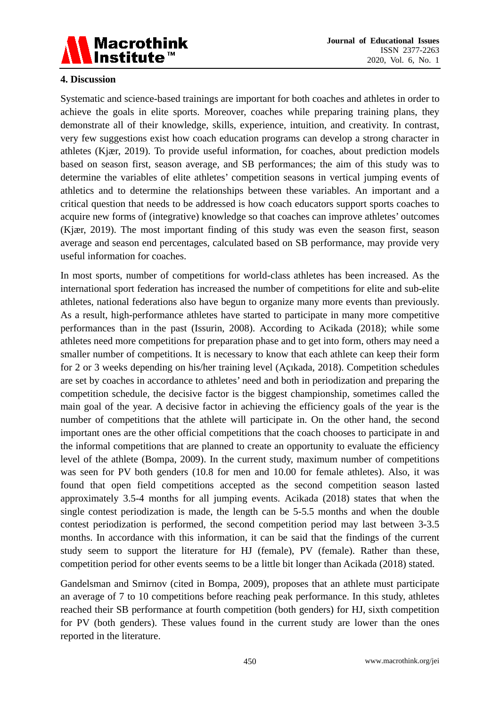

#### **4. Discussion**

Systematic and science-based trainings are important for both coaches and athletes in order to achieve the goals in elite sports. Moreover, coaches while preparing training plans, they demonstrate all of their knowledge, skills, experience, intuition, and creativity. In contrast, very few suggestions exist how coach education programs can develop a strong character in athletes (Kjær, 2019). To provide useful information, for coaches, about prediction models based on season first, season average, and SB performances; the aim of this study was to determine the variables of elite athletes' competition seasons in vertical jumping events of athletics and to determine the relationships between these variables. An important and a critical question that needs to be addressed is how coach educators support sports coaches to acquire new forms of (integrative) knowledge so that coaches can improve athletes' outcomes (Kjær, 2019). The most important finding of this study was even the season first, season average and season end percentages, calculated based on SB performance, may provide very useful information for coaches.

In most sports, number of competitions for world-class athletes has been increased. As the international sport federation has increased the number of competitions for elite and sub-elite athletes, national federations also have begun to organize many more events than previously. As a result, high-performance athletes have started to participate in many more competitive performances than in the past (Issurin, 2008). According to Acikada (2018); while some athletes need more competitions for preparation phase and to get into form, others may need a smaller number of competitions. It is necessary to know that each athlete can keep their form for 2 or 3 weeks depending on his/her training level (Açıkada, 2018). Competition schedules are set by coaches in accordance to athletes' need and both in periodization and preparing the competition schedule, the decisive factor is the biggest championship, sometimes called the main goal of the year. A decisive factor in achieving the efficiency goals of the year is the number of competitions that the athlete will participate in. On the other hand, the second important ones are the other official competitions that the coach chooses to participate in and the informal competitions that are planned to create an opportunity to evaluate the efficiency level of the athlete (Bompa, 2009). In the current study, maximum number of competitions was seen for PV both genders (10.8 for men and 10.00 for female athletes). Also, it was found that open field competitions accepted as the second competition season lasted approximately 3.5-4 months for all jumping events. Acikada (2018) states that when the single contest periodization is made, the length can be 5-5.5 months and when the double contest periodization is performed, the second competition period may last between 3-3.5 months. In accordance with this information, it can be said that the findings of the current study seem to support the literature for HJ (female), PV (female). Rather than these, competition period for other events seems to be a little bit longer than Acikada (2018) stated.

Gandelsman and Smirnov (cited in Bompa, 2009), proposes that an athlete must participate an average of 7 to 10 competitions before reaching peak performance. In this study, athletes reached their SB performance at fourth competition (both genders) for HJ, sixth competition for PV (both genders). These values found in the current study are lower than the ones reported in the literature.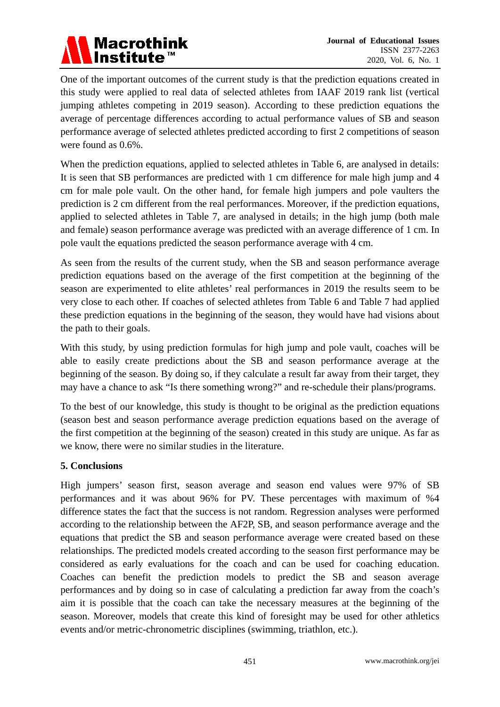# Macrothink<br>Institute™

One of the important outcomes of the current study is that the prediction equations created in this study were applied to real data of selected athletes from IAAF 2019 rank list (vertical jumping athletes competing in 2019 season). According to these prediction equations the average of percentage differences according to actual performance values of SB and season performance average of selected athletes predicted according to first 2 competitions of season were found as 0.6%.

When the prediction equations, applied to selected athletes in Table 6, are analysed in details: It is seen that SB performances are predicted with 1 cm difference for male high jump and 4 cm for male pole vault. On the other hand, for female high jumpers and pole vaulters the prediction is 2 cm different from the real performances. Moreover, if the prediction equations, applied to selected athletes in Table 7, are analysed in details; in the high jump (both male and female) season performance average was predicted with an average difference of 1 cm. In pole vault the equations predicted the season performance average with 4 cm.

As seen from the results of the current study, when the SB and season performance average prediction equations based on the average of the first competition at the beginning of the season are experimented to elite athletes' real performances in 2019 the results seem to be very close to each other. If coaches of selected athletes from Table 6 and Table 7 had applied these prediction equations in the beginning of the season, they would have had visions about the path to their goals.

With this study, by using prediction formulas for high jump and pole vault, coaches will be able to easily create predictions about the SB and season performance average at the beginning of the season. By doing so, if they calculate a result far away from their target, they may have a chance to ask "Is there something wrong?" and re-schedule their plans/programs.

To the best of our knowledge, this study is thought to be original as the prediction equations (season best and season performance average prediction equations based on the average of the first competition at the beginning of the season) created in this study are unique. As far as we know, there were no similar studies in the literature.

#### **5. Conclusions**

High jumpers' season first, season average and season end values were 97% of SB performances and it was about 96% for PV. These percentages with maximum of %4 difference states the fact that the success is not random. Regression analyses were performed according to the relationship between the AF2P, SB, and season performance average and the equations that predict the SB and season performance average were created based on these relationships. The predicted models created according to the season first performance may be considered as early evaluations for the coach and can be used for coaching education. Coaches can benefit the prediction models to predict the SB and season average performances and by doing so in case of calculating a prediction far away from the coach's aim it is possible that the coach can take the necessary measures at the beginning of the season. Moreover, models that create this kind of foresight may be used for other athletics events and/or metric-chronometric disciplines (swimming, triathlon, etc.).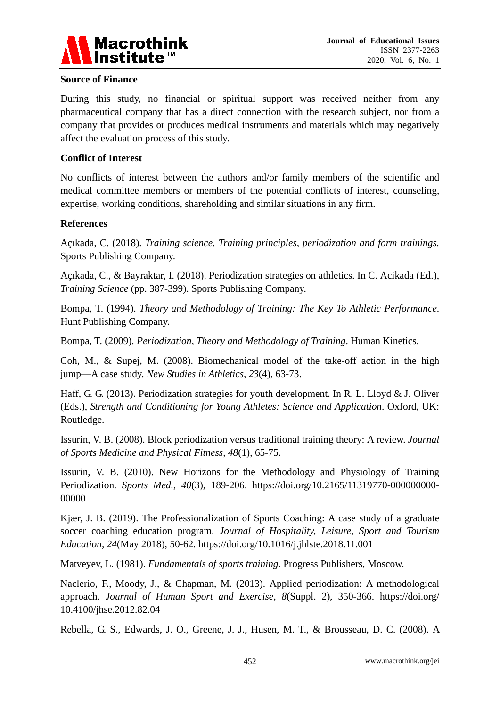

#### **Source of Finance**

During this study, no financial or spiritual support was received neither from any pharmaceutical company that has a direct connection with the research subject, nor from a company that provides or produces medical instruments and materials which may negatively affect the evaluation process of this study.

#### **Conflict of Interest**

No conflicts of interest between the authors and/or family members of the scientific and medical committee members or members of the potential conflicts of interest, counseling, expertise, working conditions, shareholding and similar situations in any firm.

#### **References**

Açıkada, C. (2018). *Training science. Training principles, periodization and form trainings.* Sports Publishing Company.

Açıkada, C., & Bayraktar, I. (2018). Periodization strategies on athletics. In C. Acikada (Ed.), *Training Science* (pp. 387-399). Sports Publishing Company.

Bompa, T. (1994). *Theory and Methodology of Training: The Key To Athletic Performance*. Hunt Publishing Company.

Bompa, T. (2009). *Periodization, Theory and Methodology of Training*. Human Kinetics.

Coh, M., & Supej, M. (2008). Biomechanical model of the take-off action in the high jump—A case study. *New Studies in Athletics, 23*(4), 63-73.

Haff, G. G. (2013). Periodization strategies for youth development. In R. L. Lloyd & J. Oliver (Eds.), *Strength and Conditioning for Young Athletes: Science and Application*. Oxford, UK: Routledge.

Issurin, V. B. (2008). Block periodization versus traditional training theory: A review. *Journal of Sports Medicine and Physical Fitness, 48*(1), 65-75.

Issurin, V. B. (2010). New Horizons for the Methodology and Physiology of Training Periodization. *Sports Med., 40*(3), 189-206. https://doi.org/10.2165/11319770-000000000- 00000

Kjær, J. B. (2019). The Professionalization of Sports Coaching: A case study of a graduate soccer coaching education program. *Journal of Hospitality, Leisure, Sport and Tourism Education, 24*(May 2018), 50-62. https://doi.org/10.1016/j.jhlste.2018.11.001

Matveyev, L. (1981). *Fundamentals of sports training*. Progress Publishers, Moscow.

Naclerio, F., Moody, J., & Chapman, M. (2013). Applied periodization: A methodological approach. *Journal of Human Sport and Exercise, 8*(Suppl. 2), 350-366. https://doi.org/ 10.4100/jhse.2012.82.04

Rebella, G. S., Edwards, J. O., Greene, J. J., Husen, M. T., & Brousseau, D. C. (2008). A